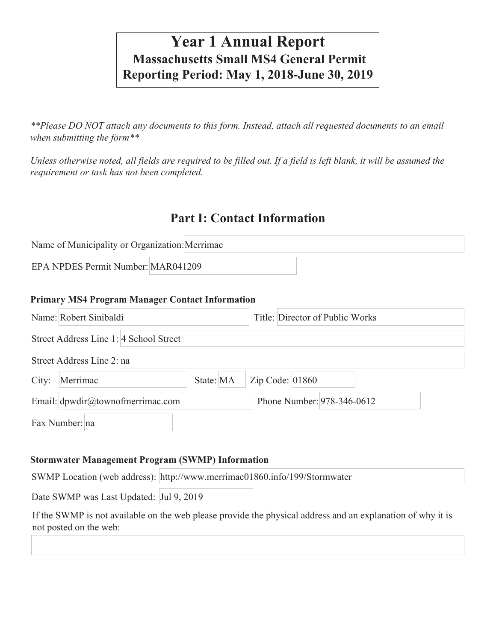# **Year 1 Annual Report Massachusetts Small MS4 General Permit Reporting Period: May 1, 2018-June 30, 2019**

*\*\*Please DO NOT attach any documents to this form. Instead, attach all requested documents to an email when submitting the form\*\** 

*Unless otherwise noted, all fields are required to be filled out. If a field is left blank, it will be assumed the requirement or task has not been completed.*

# **Part I: Contact Information**

Name of Municipality or Organization: Merrimac

EPA NPDES Permit Number: MAR041209

#### **Primary MS4 Program Manager Contact Information**

|       | Name: Robert Sinibaldi                 |           | Title: Director of Public Works |                            |
|-------|----------------------------------------|-----------|---------------------------------|----------------------------|
|       | Street Address Line 1: 4 School Street |           |                                 |                            |
|       | Street Address Line 2: na              |           |                                 |                            |
| City: | Merrimac                               | State: MA | Zip Code: $01860$               |                            |
|       | Email: dpwdir@townofmerrimac.com       |           |                                 | Phone Number: 978-346-0612 |
|       | Fax Number: na                         |           |                                 |                            |

#### **Stormwater Management Program (SWMP) Information**

SWMP Location (web address): http://www.merrimac01860.info/199/Stormwater

Date SWMP was Last Updated: Jul 9, 2019

If the SWMP is not available on the web please provide the physical address and an explanation of why it is not posted on the web: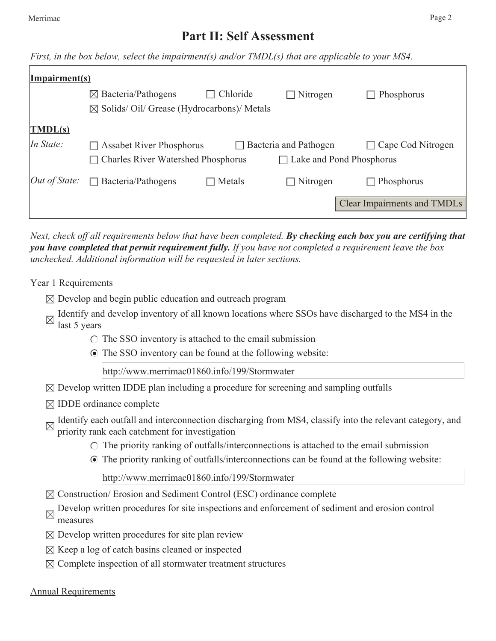# **Part II: Self Assessment**

*First, in the box below, select the impairment(s) and/or TMDL(s) that are applicable to your MS4.*

| <b>Impairment(s)</b>        |                                                       |          |                          |                             |
|-----------------------------|-------------------------------------------------------|----------|--------------------------|-----------------------------|
|                             | $\boxtimes$ Bacteria/Pathogens                        | Chloride | $\Box$ Nitrogen          | Phosphorus                  |
|                             | $\boxtimes$ Solids/Oil/ Grease (Hydrocarbons)/ Metals |          |                          |                             |
| $\overline{\text{IMDL(s)}}$ |                                                       |          |                          |                             |
| In State:                   | <b>Assabet River Phosphorus</b>                       |          | Bacteria and Pathogen    | Cape Cod Nitrogen           |
|                             | <b>Charles River Watershed Phosphorus</b>             |          | Lake and Pond Phosphorus |                             |
| $Out$ of State:             | Bacteria/Pathogens<br>$\Box$                          | Metals   | $\Box$ Nitrogen          | Phosphorus                  |
|                             |                                                       |          |                          | Clear Impairments and TMDLs |

*Next, check off all requirements below that have been completed. By checking each box you are certifying that you have completed that permit requirement fully. If you have not completed a requirement leave the box unchecked. Additional information will be requested in later sections.* 

#### Year 1 Requirements

- $\boxtimes$  Develop and begin public education and outreach program
- Identify and develop inventory of all known locations where SSOs have discharged to the MS4 in the last 5 years
	- $\circ$  The SSO inventory is attached to the email submission
	- The SSO inventory can be found at the following website:

http://www.merrimac01860.info/199/Stormwater

- $\boxtimes$  Develop written IDDE plan including a procedure for screening and sampling outfalls
- $\boxtimes$  IDDE ordinance complete
- Identify each outfall and interconnection discharging from MS4, classify into the relevant category, and priority reals as the state of  $\epsilon$ priority rank each catchment for investigation
	- $\circ$  The priority ranking of outfalls/interconnections is attached to the email submission
	- The priority ranking of outfalls/interconnections can be found at the following website:

http://www.merrimac01860.info/199/Stormwater

- $\boxtimes$  Construction/ Erosion and Sediment Control (ESC) ordinance complete
- Develop written procedures for site inspections and enforcement of sediment and erosion control measures
- $\boxtimes$  Develop written procedures for site plan review
- $\boxtimes$  Keep a log of catch basins cleaned or inspected
- $\boxtimes$  Complete inspection of all stormwater treatment structures

#### Annual Requirements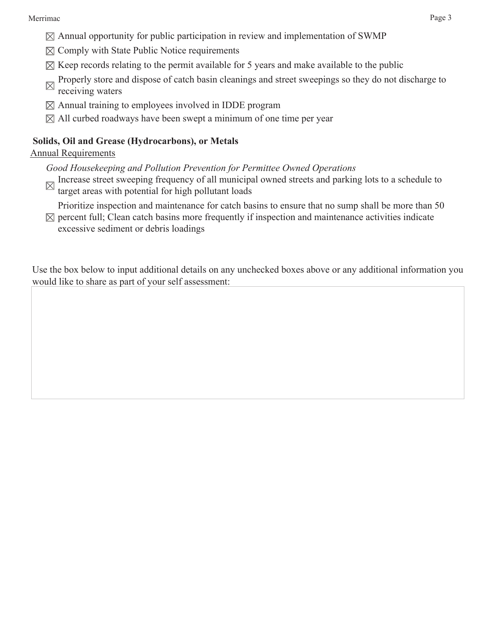- $\boxtimes$  Annual opportunity for public participation in review and implementation of SWMP
- $\boxtimes$  Comply with State Public Notice requirements
- $\boxtimes$  Keep records relating to the permit available for 5 years and make available to the public
- Properly store and dispose of catch basin cleanings and street sweepings so they do not discharge to  $\boxtimes$ receiving waters
- $\boxtimes$  Annual training to employees involved in IDDE program
- $\boxtimes$  All curbed roadways have been swept a minimum of one time per year

### **Solids, Oil and Grease (Hydrocarbons), or Metals**

### Annual Requirements

*Good Housekeeping and Pollution Prevention for Permittee Owned Operations*

Increase street sweeping frequency of all municipal owned streets and parking lots to a schedule to target areas with potential for high a  $1!$ target areas with potential for high pollutant loads

Prioritize inspection and maintenance for catch basins to ensure that no sump shall be more than 50

 $\boxtimes$  percent full; Clean catch basins more frequently if inspection and maintenance activities indicate excessive sediment or debris loadings

Use the box below to input additional details on any unchecked boxes above or any additional information you would like to share as part of your self assessment: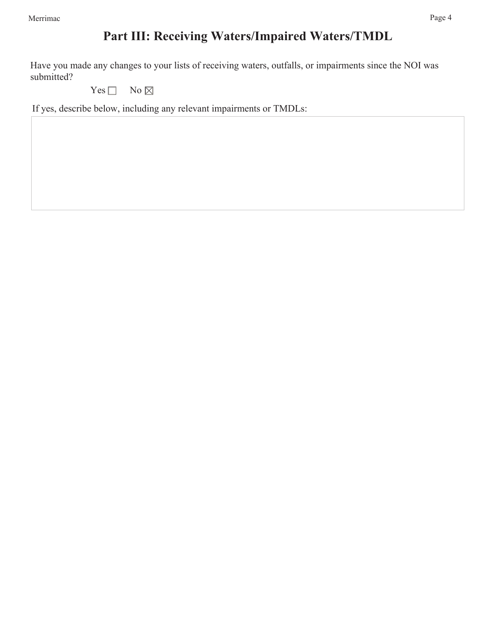# **Part III: Receiving Waters/Impaired Waters/TMDL**

Have you made any changes to your lists of receiving waters, outfalls, or impairments since the NOI was submitted?

Yes  $\Box$  No  $\boxtimes$ 

If yes, describe below, including any relevant impairments or TMDLs: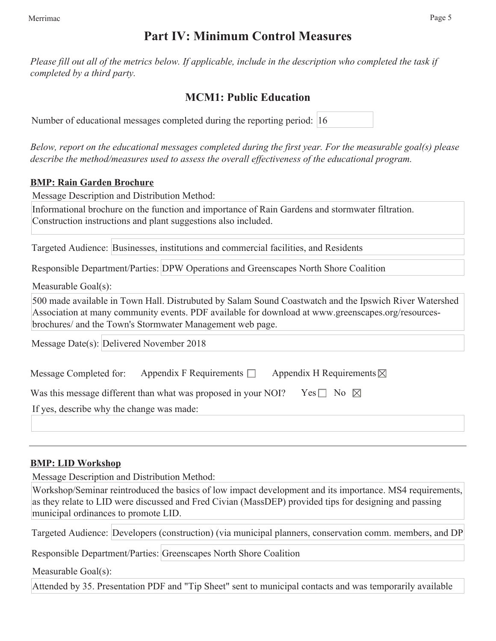# **Part IV: Minimum Control Measures**

*Please fill out all of the metrics below. If applicable, include in the description who completed the task if completed by a third party.* 

# **MCM1: Public Education**

| Number of educational messages completed during the reporting period: 16 |  |  |  |  |  |  |
|--------------------------------------------------------------------------|--|--|--|--|--|--|
|--------------------------------------------------------------------------|--|--|--|--|--|--|

*Below, report on the educational messages completed during the first year. For the measurable goal(s) please describe the method/measures used to assess the overall effectiveness of the educational program.*

### **BMP: Rain Garden Brochure**

Message Description and Distribution Method:

Informational brochure on the function and importance of Rain Gardens and stormwater filtration. Construction instructions and plant suggestions also included.

Targeted Audience: Businesses, institutions and commercial facilities, and Residents

Responsible Department/Parties: DPW Operations and Greenscapes North Shore Coalition

Measurable Goal(s):

500 made available in Town Hall. Distrubuted by Salam Sound Coastwatch and the Ipswich River Watershed Association at many community events. PDF available for download at www.greenscapes.org/resourcesbrochures/ and the Town's Stormwater Management web page.

Message Date(s): Delivered November 2018

| Message Completed for:                    | Appendix F Requirements $\Box$                                 | Appendix H Requirements $\boxtimes$ |
|-------------------------------------------|----------------------------------------------------------------|-------------------------------------|
|                                           | Was this message different than what was proposed in your NOI? | Yes $\Box$ No $\boxtimes$           |
| If yes, describe why the change was made: |                                                                |                                     |

# **BMP: LID Workshop**

Message Description and Distribution Method:

Workshop/Seminar reintroduced the basics of low impact development and its importance. MS4 requirements, as they relate to LID were discussed and Fred Civian (MassDEP) provided tips for designing and passing municipal ordinances to promote LID.

Targeted Audience: Developers (construction) (via municipal planners, conservation comm. members, and DP

Responsible Department/Parties: Greenscapes North Shore Coalition

Measurable Goal(s):

Attended by 35. Presentation PDF and "Tip Sheet" sent to municipal contacts and was temporarily available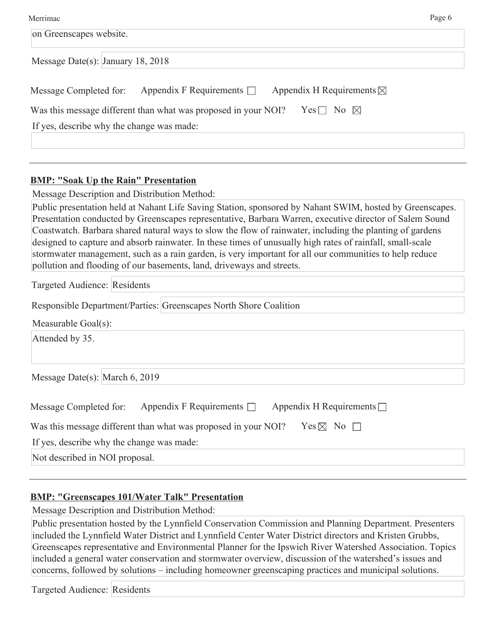| Merrimac                                                                                     | Page 6 |
|----------------------------------------------------------------------------------------------|--------|
| on Greenscapes website.                                                                      |        |
| Message Date(s): January 18, 2018                                                            |        |
| Appendix F Requirements $\Box$ Appendix H Requirements $\boxtimes$<br>Message Completed for: |        |
| Was this message different than what was proposed in your NOI?<br>Yes $\Box$ No $\boxtimes$  |        |
| If yes, describe why the change was made:                                                    |        |
|                                                                                              |        |

#### **BMP: "Soak Up the Rain" Presentation**

Message Description and Distribution Method:

Public presentation held at Nahant Life Saving Station, sponsored by Nahant SWIM, hosted by Greenscapes. Presentation conducted by Greenscapes representative, Barbara Warren, executive director of Salem Sound Coastwatch. Barbara shared natural ways to slow the flow of rainwater, including the planting of gardens designed to capture and absorb rainwater. In these times of unusually high rates of rainfall, small-scale stormwater management, such as a rain garden, is very important for all our communities to help reduce pollution and flooding of our basements, land, driveways and streets.

Targeted Audience: Residents

Responsible Department/Parties: Greenscapes North Shore Coalition

Measurable Goal(s):

Attended by 35.

| Message Date(s): March 6, 2019 |  |  |  |
|--------------------------------|--|--|--|
|                                |  |  |  |

| Message Completed for:                    | Appendix F Requirements $\Box$                                 |  | Appendix H Requirements $\Box$ |  |  |
|-------------------------------------------|----------------------------------------------------------------|--|--------------------------------|--|--|
|                                           | Was this message different than what was proposed in your NOI? |  | $Yes \boxtimes No \Box$        |  |  |
| If yes, describe why the change was made: |                                                                |  |                                |  |  |
| Not described in NOI proposal.            |                                                                |  |                                |  |  |

#### **BMP: "Greenscapes 101/Water Talk" Presentation**

Message Description and Distribution Method:

Public presentation hosted by the Lynnfield Conservation Commission and Planning Department. Presenters included the Lynnfield Water District and Lynnfield Center Water District directors and Kristen Grubbs, Greenscapes representative and Environmental Planner for the Ipswich River Watershed Association. Topics included a general water conservation and stormwater overview, discussion of the watershed's issues and concerns, followed by solutions – including homeowner greenscaping practices and municipal solutions.

Targeted Audience: Residents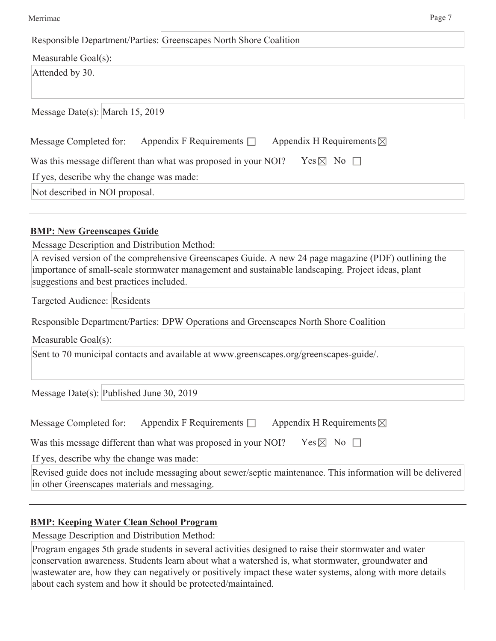| vierrima |
|----------|
|          |

| Merrimac                                                                                                                                                                                                                                                                                                                                   | Page 7 |
|--------------------------------------------------------------------------------------------------------------------------------------------------------------------------------------------------------------------------------------------------------------------------------------------------------------------------------------------|--------|
| Responsible Department/Parties: Greenscapes North Shore Coalition                                                                                                                                                                                                                                                                          |        |
| Measurable Goal(s):                                                                                                                                                                                                                                                                                                                        |        |
| Attended by 30.                                                                                                                                                                                                                                                                                                                            |        |
| Message Date(s): March 15, 2019                                                                                                                                                                                                                                                                                                            |        |
| Appendix F Requirements $\Box$<br>Appendix H Requirements $\boxtimes$<br>Message Completed for:                                                                                                                                                                                                                                            |        |
| $Yes \boxtimes No \Box$<br>Was this message different than what was proposed in your NOI?                                                                                                                                                                                                                                                  |        |
| If yes, describe why the change was made:                                                                                                                                                                                                                                                                                                  |        |
| Not described in NOI proposal.                                                                                                                                                                                                                                                                                                             |        |
| <b>BMP: New Greenscapes Guide</b><br>Message Description and Distribution Method:<br>A revised version of the comprehensive Greenscapes Guide. A new 24 page magazine (PDF) outlining the<br>importance of small-scale stormwater management and sustainable landscaping. Project ideas, plant<br>suggestions and best practices included. |        |
| Targeted Audience: Residents                                                                                                                                                                                                                                                                                                               |        |
| Responsible Department/Parties: DPW Operations and Greenscapes North Shore Coalition                                                                                                                                                                                                                                                       |        |
| Measurable Goal(s):                                                                                                                                                                                                                                                                                                                        |        |
| Sent to 70 municipal contacts and available at www.greenscapes.org/greenscapes-guide/.                                                                                                                                                                                                                                                     |        |
| Message Date(s): Published June 30, 2019                                                                                                                                                                                                                                                                                                   |        |
| Appendix F Requirements $\Box$<br>Appendix H Requirements $\boxtimes$<br>Message Completed for:                                                                                                                                                                                                                                            |        |
| Was this message different than what was proposed in your NOI?<br>$Yes \boxtimes No \square$                                                                                                                                                                                                                                               |        |
| If yes, describe why the change was made:                                                                                                                                                                                                                                                                                                  |        |
| Revised guide does not include messaging about sewer/septic maintenance. This information will be delivered<br>in other Greenscapes materials and messaging.                                                                                                                                                                               |        |
|                                                                                                                                                                                                                                                                                                                                            |        |

# **BMP: Keeping Water Clean School Program**

Message Description and Distribution Method:

Program engages 5th grade students in several activities designed to raise their stormwater and water conservation awareness. Students learn about what a watershed is, what stormwater, groundwater and wastewater are, how they can negatively or positively impact these water systems, along with more details about each system and how it should be protected/maintained.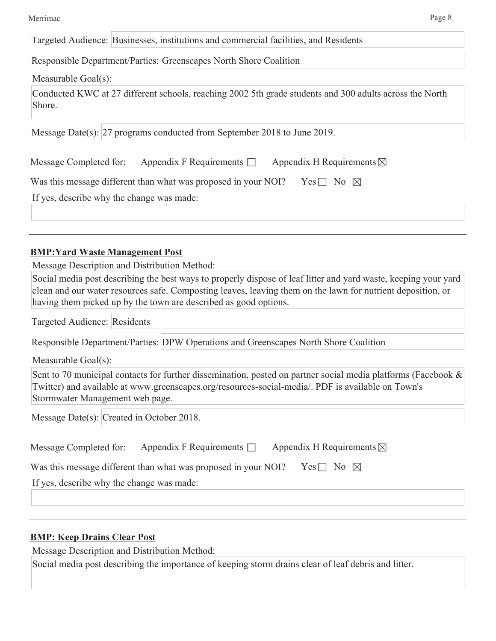### Responsible Department/Parties: Greenscapes North Shore Coalition

Measurable Goal(s):

Conducted KWC at 27 different schools, reaching 2002 5th grade students and 300 adults across the North Shore.

Message Date(s): 27 programs conducted from September 2018 to June 2019.

| Message Completed for: Appendix F Requirements $\Box$ | Appendix H Requirements $\boxtimes$ |
|-------------------------------------------------------|-------------------------------------|

| Was this message different than what was proposed in your NOI? Yes $\Box$ No $\boxtimes$ |  |  |  |  |
|------------------------------------------------------------------------------------------|--|--|--|--|
|------------------------------------------------------------------------------------------|--|--|--|--|

If yes, describe why the change was made:

# **BMP:Yard Waste Management Post**

Message Description and Distribution Method:

Social media post describing the best ways to properly dispose of leaf litter and yard waste, keeping your yard clean and our water resources safe. Composting leaves, leaving them on the lawn for nutrient deposition, or having them picked up by the town are described as good options.

Targeted Audience: Residents

| Responsible Department/Parties: DPW Operations and Greenscapes North Shore Coalition |  |  |
|--------------------------------------------------------------------------------------|--|--|
|                                                                                      |  |  |

Measurable Goal(s):

Sent to 70 municipal contacts for further dissemination, posted on partner social media platforms (Facebook & Twitter) and available at www.greenscapes.org/resources-social-media/. PDF is available on Town's Stormwater Management web page.

Message Date(s): Created in October 2018.

Was this message different than what was proposed in your NOI? Yes  $\Box$  No  $\boxtimes$ 

If yes, describe why the change was made:

# **BMP: Keep Drains Clear Post**

Message Description and Distribution Method:

Social media post describing the importance of keeping storm drains clear of leaf debris and litter.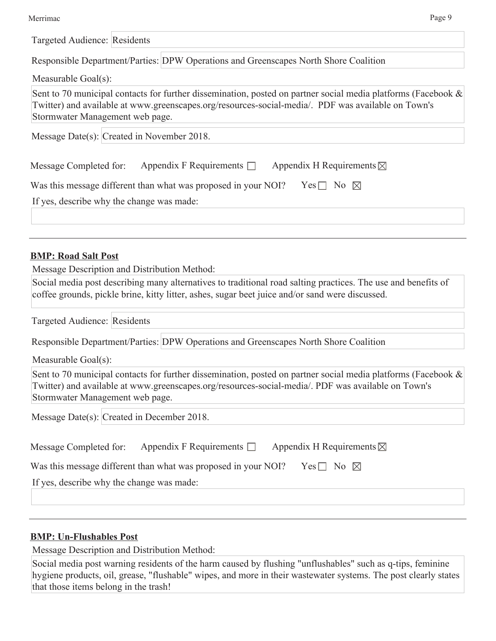| Merrimac |
|----------|
|          |

| Merrimac                                                                                                                                                                                                                                               | Page 9 |
|--------------------------------------------------------------------------------------------------------------------------------------------------------------------------------------------------------------------------------------------------------|--------|
| Targeted Audience: Residents                                                                                                                                                                                                                           |        |
| Responsible Department/Parties: DPW Operations and Greenscapes North Shore Coalition                                                                                                                                                                   |        |
| Measurable Goal(s):                                                                                                                                                                                                                                    |        |
| Sent to 70 municipal contacts for further dissemination, posted on partner social media platforms (Facebook &<br>Twitter) and available at www.greenscapes.org/resources-social-media/. PDF was available on Town's<br>Stormwater Management web page. |        |
| Message Date(s): Created in November 2018.                                                                                                                                                                                                             |        |
| Appendix F Requirements $\Box$<br>Appendix H Requirements $\boxtimes$<br>Message Completed for:                                                                                                                                                        |        |
| Was this message different than what was proposed in your NOI?<br>Yes $\Box$ No $\boxtimes$                                                                                                                                                            |        |
| If yes, describe why the change was made:                                                                                                                                                                                                              |        |
|                                                                                                                                                                                                                                                        |        |
| <b>BMP: Road Salt Post</b>                                                                                                                                                                                                                             |        |
| Message Description and Distribution Method:                                                                                                                                                                                                           |        |
| Social media post describing many alternatives to traditional road salting practices. The use and benefits of<br>coffee grounds, pickle brine, kitty litter, ashes, sugar beet juice and/or sand were discussed.                                       |        |
| Targeted Audience: Residents                                                                                                                                                                                                                           |        |
| Responsible Department/Parties: DPW Operations and Greenscapes North Shore Coalition                                                                                                                                                                   |        |
| Measurable Goal(s):                                                                                                                                                                                                                                    |        |
| Sent to 70 municipal contacts for further dissemination, posted on partner social media platforms (Facebook &<br>Twitter) and available at www.greenscapes.org/resources-social-media/. PDF was available on Town's<br>Stormwater Management web page. |        |
| Message Date(s): Created in December 2018.                                                                                                                                                                                                             |        |
| Appendix F Requirements $\Box$<br>Appendix H Requirements $\boxtimes$<br>Message Completed for:                                                                                                                                                        |        |
| Was this message different than what was proposed in your NOI?<br>Yes $\Box$ No $\boxtimes$                                                                                                                                                            |        |
| If yes, describe why the change was made:                                                                                                                                                                                                              |        |
|                                                                                                                                                                                                                                                        |        |

# **BMP: Un-Flushables Post**

Message Description and Distribution Method:

Social media post warning residents of the harm caused by flushing "unflushables" such as q-tips, feminine hygiene products, oil, grease, "flushable" wipes, and more in their wastewater systems. The post clearly states that those items belong in the trash!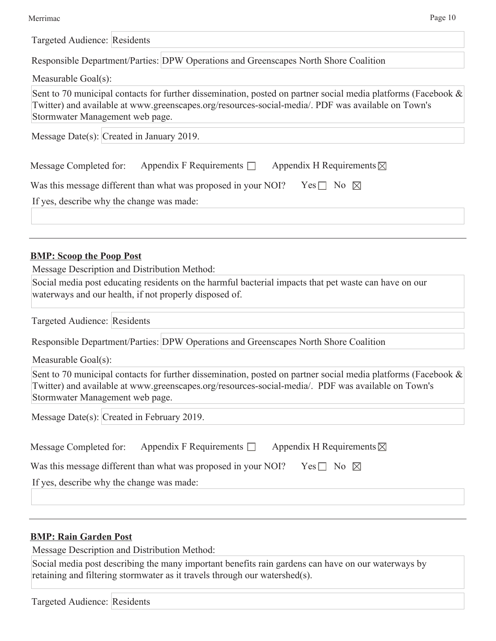| Merrimac |
|----------|
|          |

| ↩ |
|---|
|---|

| Page 10<br>Merrimac                                                                                                                                                                                                                                       |
|-----------------------------------------------------------------------------------------------------------------------------------------------------------------------------------------------------------------------------------------------------------|
| Targeted Audience: Residents                                                                                                                                                                                                                              |
| Responsible Department/Parties: DPW Operations and Greenscapes North Shore Coalition                                                                                                                                                                      |
| Measurable Goal(s):                                                                                                                                                                                                                                       |
| Sent to 70 municipal contacts for further dissemination, posted on partner social media platforms (Facebook $\&$<br>Twitter) and available at www.greenscapes.org/resources-social-media/. PDF was available on Town's<br>Stormwater Management web page. |
| Message Date(s): $Created$ in January 2019.                                                                                                                                                                                                               |
| Appendix F Requirements $\Box$<br>Appendix H Requirements $\boxtimes$<br>Message Completed for:                                                                                                                                                           |
| Was this message different than what was proposed in your NOI?<br>Yes $\Box$ No $\boxtimes$                                                                                                                                                               |
| If yes, describe why the change was made:                                                                                                                                                                                                                 |
|                                                                                                                                                                                                                                                           |
| <b>BMP: Scoop the Poop Post</b>                                                                                                                                                                                                                           |
| Message Description and Distribution Method:<br>Social media post educating residents on the harmful bacterial impacts that pet waste can have on our<br>waterways and our health, if not properly disposed of.                                           |
| Targeted Audience: Residents                                                                                                                                                                                                                              |
| Responsible Department/Parties: DPW Operations and Greenscapes North Shore Coalition                                                                                                                                                                      |
| Measurable Goal(s):                                                                                                                                                                                                                                       |
| Sent to 70 municipal contacts for further dissemination, posted on partner social media platforms (Facebook &<br>Twitter) and available at www.greenscapes.org/resources-social-media/. PDF was available on Town's<br>Stormwater Management web page.    |
| Message Date(s): Created in February 2019.                                                                                                                                                                                                                |
| Appendix F Requirements $\Box$<br>Appendix H Requirements $\boxtimes$<br>Message Completed for:                                                                                                                                                           |
| Was this message different than what was proposed in your NOI?<br>Yes $\Box$ No $\boxtimes$                                                                                                                                                               |
| If yes, describe why the change was made:                                                                                                                                                                                                                 |
|                                                                                                                                                                                                                                                           |
|                                                                                                                                                                                                                                                           |
| <b>BMP: Rain Garden Post</b>                                                                                                                                                                                                                              |

Message Description and Distribution Method:

Social media post describing the many important benefits rain gardens can have on our waterways by retaining and filtering stormwater as it travels through our watershed(s).

Targeted Audience: Residents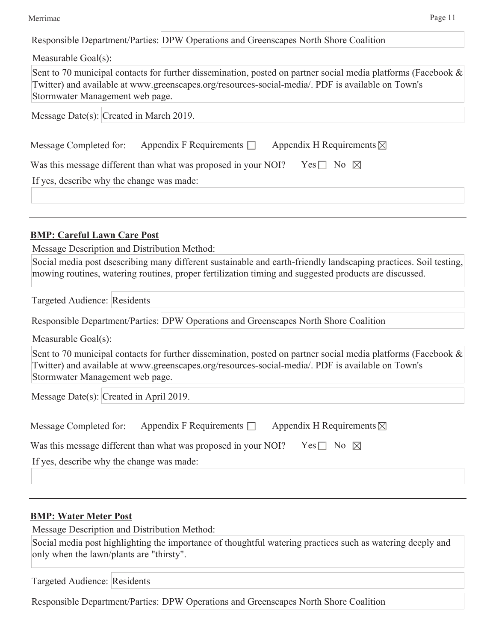#### Merrimac Page 11

| Responsible Department/Parties: DPW Operations and Greenscapes North Shore Coalition                                                                                                                                                                     |
|----------------------------------------------------------------------------------------------------------------------------------------------------------------------------------------------------------------------------------------------------------|
| Measurable Goal(s):                                                                                                                                                                                                                                      |
| Sent to 70 municipal contacts for further dissemination, posted on partner social media platforms (Facebook &<br>Twitter) and available at www.greenscapes.org/resources-social-media/. PDF is available on Town's<br>Stormwater Management web page.    |
| Message Date(s): Created in March 2019.                                                                                                                                                                                                                  |
| Appendix F Requirements $\Box$<br>Appendix H Requirements $\boxtimes$<br>Message Completed for:                                                                                                                                                          |
| Was this message different than what was proposed in your NOI?<br>Yes $\Box$ No $\boxtimes$                                                                                                                                                              |
| If yes, describe why the change was made:                                                                                                                                                                                                                |
|                                                                                                                                                                                                                                                          |
|                                                                                                                                                                                                                                                          |
| <b>BMP: Careful Lawn Care Post</b>                                                                                                                                                                                                                       |
| Message Description and Distribution Method:                                                                                                                                                                                                             |
| Social media post dsescribing many different sustainable and earth-friendly landscaping practices. Soil testing,<br>mowing routines, watering routines, proper fertilization timing and suggested products are discussed.                                |
| Targeted Audience: Residents                                                                                                                                                                                                                             |
| Responsible Department/Parties: DPW Operations and Greenscapes North Shore Coalition                                                                                                                                                                     |
| Measurable Goal(s):                                                                                                                                                                                                                                      |
| Sent to 70 municipal contacts for further dissemination, posted on partner social media platforms (Facebook $\&$<br>Twitter) and available at www.greenscapes.org/resources-social-media/. PDF is available on Town's<br>Stormwater Management web page. |
| Message Date(s): Created in April 2019.                                                                                                                                                                                                                  |
| Appendix F Requirements $\Box$<br>Appendix H Requirements $\boxtimes$<br>Message Completed for:                                                                                                                                                          |
| Was this message different than what was proposed in your NOI?<br>Yes $\Box$ No $\boxtimes$                                                                                                                                                              |
| If yes, describe why the change was made:                                                                                                                                                                                                                |
|                                                                                                                                                                                                                                                          |
|                                                                                                                                                                                                                                                          |
| <b>BMP: Water Meter Post</b>                                                                                                                                                                                                                             |

Message Description and Distribution Method:

Social media post highlighting the importance of thoughtful watering practices such as watering deeply and only when the lawn/plants are "thirsty".

Targeted Audience: Residents

Responsible Department/Parties: DPW Operations and Greenscapes North Shore Coalition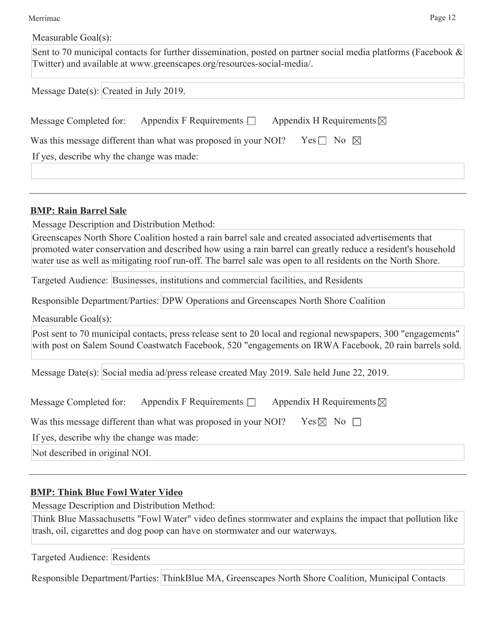| Merrimac            | Page 12 |
|---------------------|---------|
| Measurable Goal(s): |         |

| Sent to 70 municipal contacts for further dissemination, posted on partner social media platforms (Facebook $\&$<br>Twitter) and available at www.greenscapes.org/resources-social-media/.                                 |  |
|----------------------------------------------------------------------------------------------------------------------------------------------------------------------------------------------------------------------------|--|
| Message Date(s): Created in July 2019.                                                                                                                                                                                     |  |
| Appendix F Requirements $\Box$<br>Appendix H Requirements ⊠<br>Message Completed for:                                                                                                                                      |  |
| Was this message different than what was proposed in your NOI?<br>Yes $\Box$ No $\boxtimes$                                                                                                                                |  |
| If yes, describe why the change was made:                                                                                                                                                                                  |  |
|                                                                                                                                                                                                                            |  |
| <b>BMP: Rain Barrel Sale</b>                                                                                                                                                                                               |  |
| Message Description and Distribution Method:<br>Greenscapes North Shore Coalition hosted a rain barrel sale and created associated advertisements that                                                                     |  |
| promoted water conservation and described how using a rain barrel can greatly reduce a resident's household<br>water use as well as mitigating roof run-off. The barrel sale was open to all residents on the North Shore. |  |
| Targeted Audience: Businesses, institutions and commercial facilities, and Residents                                                                                                                                       |  |
| Responsible Department/Parties: DPW Operations and Greenscapes North Shore Coalition                                                                                                                                       |  |
| Measurable Goal(s):                                                                                                                                                                                                        |  |
| Post sent to 70 municipal contacts, press release sent to 20 local and regional newspapers, 300 "engagements"<br>with post on Salem Sound Coastwatch Facebook, 520 "engagements on IRWA Facebook, 20 rain barrels sold.    |  |
| Message Date(s): Social media ad/press release created May 2019. Sale held June 22, 2019.                                                                                                                                  |  |
| Appendix F Requirements $\Box$<br>Appendix H Requirements $\boxtimes$<br>Message Completed for:                                                                                                                            |  |
| Yes $\times$ No $\Box$<br>Was this message different than what was proposed in your NOI?                                                                                                                                   |  |
| If yes, describe why the change was made:                                                                                                                                                                                  |  |
| Not described in original NOI.                                                                                                                                                                                             |  |
| <b>BMP: Think Blue Fowl Water Video</b>                                                                                                                                                                                    |  |
| Message Description and Distribution Method:                                                                                                                                                                               |  |
| Think Blue Massachusetts "Fowl Water" video defines stormwater and explains the impact that pollution like<br>trash, oil, cigarettes and dog poop can have on stormwater and our waterways.                                |  |
| Targeted Audience: Residents                                                                                                                                                                                               |  |
|                                                                                                                                                                                                                            |  |

Responsible Department/Parties: ThinkBlue MA, Greenscapes North Shore Coalition, Municipal Contacts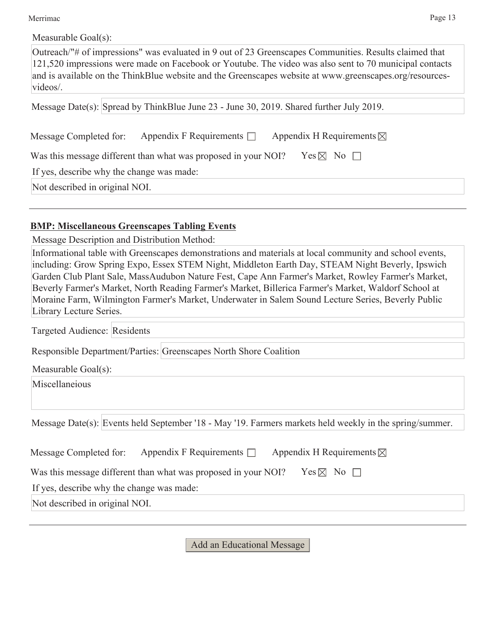Merrimac Page 13

| Measurable Goal(s): |  |
|---------------------|--|
|---------------------|--|

Outreach/"# of impressions" was evaluated in 9 out of 23 Greenscapes Communities. Results claimed that 121,520 impressions were made on Facebook or Youtube. The video was also sent to 70 municipal contacts and is available on the ThinkBlue website and the Greenscapes website at www.greenscapes.org/resourcesvideos/.

Message Date(s): Spread by ThinkBlue June 23 - June 30, 2019. Shared further July 2019.

| Message Completed for: | Appendix F Requirements $\Box$ | Appendix H Requirements $\boxtimes$ |
|------------------------|--------------------------------|-------------------------------------|

| Was this message different than what was proposed in your NOI? Ses $\boxtimes$ No $\square$ |  |  |  |
|---------------------------------------------------------------------------------------------|--|--|--|
|                                                                                             |  |  |  |

If yes, describe why the change was made:

Not described in original NOI.

#### **BMP: Miscellaneous Greenscapes Tabling Events**

Message Description and Distribution Method:

Informational table with Greenscapes demonstrations and materials at local community and school events, including: Grow Spring Expo, Essex STEM Night, Middleton Earth Day, STEAM Night Beverly, Ipswich Garden Club Plant Sale, MassAudubon Nature Fest, Cape Ann Farmer's Market, Rowley Farmer's Market, Beverly Farmer's Market, North Reading Farmer's Market, Billerica Farmer's Market, Waldorf School at Moraine Farm, Wilmington Farmer's Market, Underwater in Salem Sound Lecture Series, Beverly Public Library Lecture Series.

Targeted Audience: Residents

Responsible Department/Parties: Greenscapes North Shore Coalition

| Measurable Goal(s): |  |  |  |
|---------------------|--|--|--|
|---------------------|--|--|--|

Miscellaneious

Message Date(s): Events held September '18 - May '19. Farmers markets held weekly in the spring/summer.

| Message Completed for:                    | Appendix F Requirements $\Box$                                 | Appendix H Requirements $\boxtimes$ |  |  |
|-------------------------------------------|----------------------------------------------------------------|-------------------------------------|--|--|
|                                           | Was this message different than what was proposed in your NOI? | Yes $\boxtimes$ No $\Box$           |  |  |
| If yes, describe why the change was made: |                                                                |                                     |  |  |
| Not described in original NOI.            |                                                                |                                     |  |  |

Add an Educational Message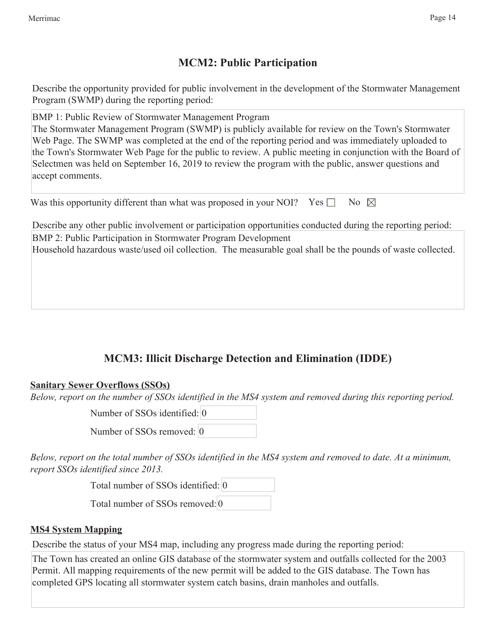# **MCM2: Public Participation**

Describe the opportunity provided for public involvement in the development of the Stormwater Management Program (SWMP) during the reporting period:

BMP 1: Public Review of Stormwater Management Program The Stormwater Management Program (SWMP) is publicly available for review on the Town's Stormwater Web Page. The SWMP was completed at the end of the reporting period and was immediately uploaded to the Town's Stormwater Web Page for the public to review. A public meeting in conjunction with the Board of Selectmen was held on September 16, 2019 to review the program with the public, answer questions and accept comments.

| Was this opportunity different than what was proposed in your NOI? Yes $\square$ No $\boxtimes$ |  |  |  |  |  |  |  |
|-------------------------------------------------------------------------------------------------|--|--|--|--|--|--|--|
|-------------------------------------------------------------------------------------------------|--|--|--|--|--|--|--|

Describe any other public involvement or participation opportunities conducted during the reporting period: BMP 2: Public Participation in Stormwater Program Development

Household hazardous waste/used oil collection. The measurable goal shall be the pounds of waste collected.

# **MCM3: Illicit Discharge Detection and Elimination (IDDE)**

# **Sanitary Sewer Overflows (SSOs)**

*Below, report on the number of SSOs identified in the MS4 system and removed during this reporting period.*

Number of SSOs identified: 0

Number of SSOs removed: 0

*Below, report on the total number of SSOs identified in the MS4 system and removed to date. At a minimum, report SSOs identified since 2013.*

Total number of SSOs identified: 0

Total number of SSOs removed: 0

#### **MS4 System Mapping**

Describe the status of your MS4 map, including any progress made during the reporting period:

The Town has created an online GIS database of the stormwater system and outfalls collected for the 2003 Permit. All mapping requirements of the new permit will be added to the GIS database. The Town has completed GPS locating all stormwater system catch basins, drain manholes and outfalls.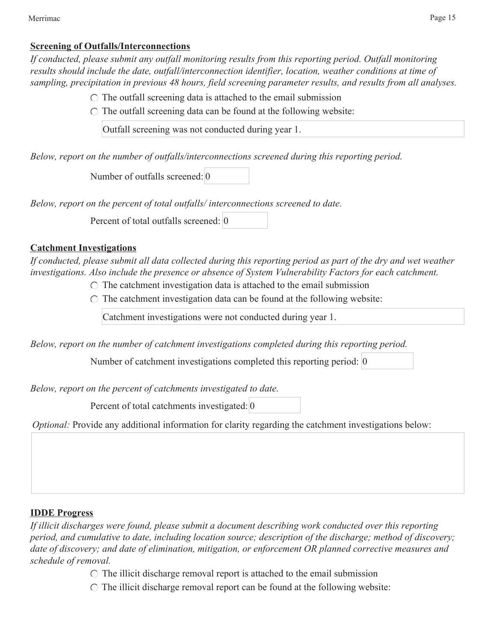#### **Screening of Outfalls/Interconnections**

*If conducted, please submit any outfall monitoring results from this reporting period. Outfall monitoring results should include the date, outfall/interconnection identifier, location, weather conditions at time of sampling, precipitation in previous 48 hours, field screening parameter results, and results from all analyses.*

- $\circ$  The outfall screening data is attached to the email submission
- $\circ$  The outfall screening data can be found at the following website:

Outfall screening was not conducted during year 1.

*Below, report on the number of outfalls/interconnections screened during this reporting period.*

Number of outfalls screened: 0

*Below, report on the percent of total outfalls/ interconnections screened to date.*

Percent of total outfalls screened: 0

#### **Catchment Investigations**

*If conducted, please submit all data collected during this reporting period as part of the dry and wet weather investigations. Also include the presence or absence of System Vulnerability Factors for each catchment.*

 $\circ$  The catchment investigation data is attached to the email submission

 $\circ$  The catchment investigation data can be found at the following website:

Catchment investigations were not conducted during year 1.

*Below, report on the number of catchment investigations completed during this reporting period.*

Number of catchment investigations completed this reporting period: 0

*Below, report on the percent of catchments investigated to date.*

Percent of total catchments investigated: 0

*Optional:* Provide any additional information for clarity regarding the catchment investigations below:

#### **IDDE Progress**

*If illicit discharges were found, please submit a document describing work conducted over this reporting period, and cumulative to date, including location source; description of the discharge; method of discovery; date of discovery; and date of elimination, mitigation, or enforcement OR planned corrective measures and schedule of removal.*

 $\circ$  The illicit discharge removal report is attached to the email submission

 $\circ$  The illicit discharge removal report can be found at the following website: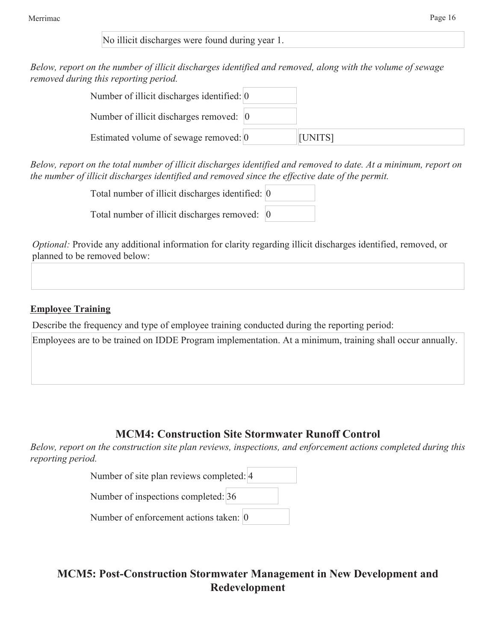No illicit discharges were found during year 1.

*Below, report on the number of illicit discharges identified and removed, along with the volume of sewage removed during this reporting period.*

| Number of illicit discharges identified: 0 |         |
|--------------------------------------------|---------|
| Number of illicit discharges removed: 0    |         |
| Estimated volume of sewage removed: 0      | [UNITS] |

*Below, report on the total number of illicit discharges identified and removed to date. At a minimum, report on the number of illicit discharges identified and removed since the effective date of the permit.*

| Total number of illicit discharges identified: 0 |  |
|--------------------------------------------------|--|
| Total number of illicit discharges removed: 0    |  |

*Optional:* Provide any additional information for clarity regarding illicit discharges identified, removed, or planned to be removed below:

# **Employee Training**

Describe the frequency and type of employee training conducted during the reporting period:

Employees are to be trained on IDDE Program implementation. At a minimum, training shall occur annually.

# **MCM4: Construction Site Stormwater Runoff Control**

*Below, report on the construction site plan reviews, inspections, and enforcement actions completed during this reporting period.*

| Number of site plan reviews completed: 4 |  |  |
|------------------------------------------|--|--|
| Number of inspections completed: 36      |  |  |
| Number of enforcement actions taken: 0   |  |  |

**MCM5: Post-Construction Stormwater Management in New Development and Redevelopment**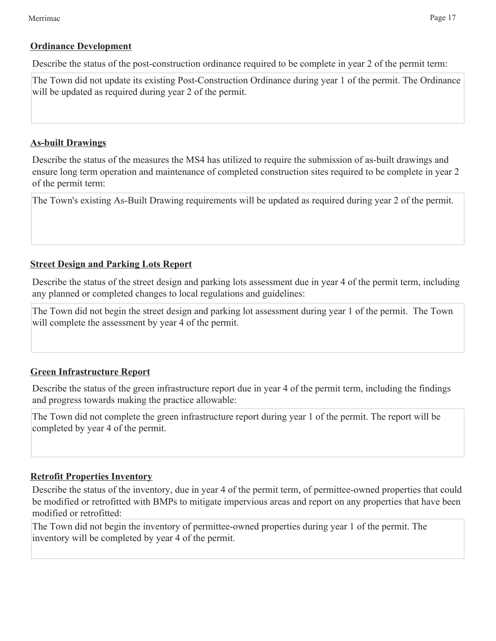#### **Ordinance Development**

Describe the status of the post-construction ordinance required to be complete in year 2 of the permit term:

The Town did not update its existing Post-Construction Ordinance during year 1 of the permit. The Ordinance will be updated as required during year 2 of the permit.

### **As-built Drawings**

Describe the status of the measures the MS4 has utilized to require the submission of as-built drawings and ensure long term operation and maintenance of completed construction sites required to be complete in year 2 of the permit term:

The Town's existing As-Built Drawing requirements will be updated as required during year 2 of the permit.

### **Street Design and Parking Lots Report**

Describe the status of the street design and parking lots assessment due in year 4 of the permit term, including any planned or completed changes to local regulations and guidelines:

The Town did not begin the street design and parking lot assessment during year 1 of the permit. The Town will complete the assessment by year 4 of the permit.

# **Green Infrastructure Report**

Describe the status of the green infrastructure report due in year 4 of the permit term, including the findings and progress towards making the practice allowable:

The Town did not complete the green infrastructure report during year 1 of the permit. The report will be completed by year 4 of the permit.

# **Retrofit Properties Inventory**

Describe the status of the inventory, due in year 4 of the permit term, of permittee-owned properties that could be modified or retrofitted with BMPs to mitigate impervious areas and report on any properties that have been modified or retrofitted:

The Town did not begin the inventory of permittee-owned properties during year 1 of the permit. The inventory will be completed by year 4 of the permit.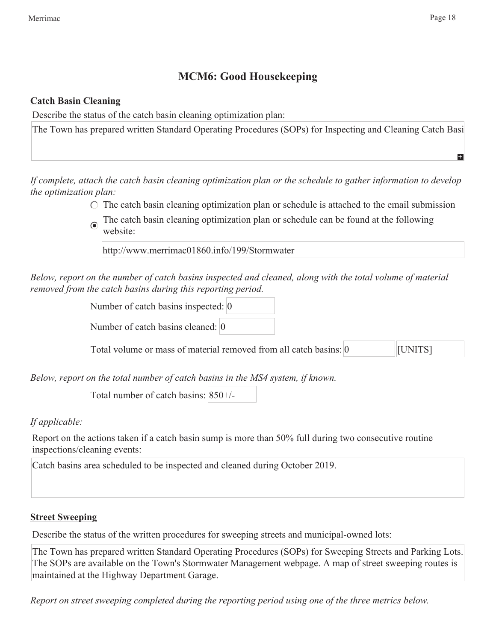# **MCM6: Good Housekeeping**

#### **Catch Basin Cleaning**

Describe the status of the catch basin cleaning optimization plan:

The Town has prepared written Standard Operating Procedures (SOPs) for Inspecting and Cleaning Catch Basi

*If complete, attach the catch basin cleaning optimization plan or the schedule to gather information to develop the optimization plan:*

- $\circ$  The catch basin cleaning optimization plan or schedule is attached to the email submission
- The catch basin cleaning optimization plan or schedule can be found at the following website:

http://www.merrimac01860.info/199/Stormwater

*Below, report on the number of catch basins inspected and cleaned, along with the total volume of material removed from the catch basins during this reporting period.*

Number of catch basins inspected: 0

Number of catch basins cleaned: 0

Total volume or mass of material removed from all catch basins: 0 [UNITS]

*Below, report on the total number of catch basins in the MS4 system, if known.*

Total number of catch basins: 850+/-

*If applicable:*

Report on the actions taken if a catch basin sump is more than 50% full during two consecutive routine inspections/cleaning events:

Catch basins area scheduled to be inspected and cleaned during October 2019.

#### **Street Sweeping**

Describe the status of the written procedures for sweeping streets and municipal-owned lots:

The Town has prepared written Standard Operating Procedures (SOPs) for Sweeping Streets and Parking Lots. The SOPs are available on the Town's Stormwater Management webpage. A map of street sweeping routes is maintained at the Highway Department Garage.

*Report on street sweeping completed during the reporting period using one of the three metrics below.*

 $\pm$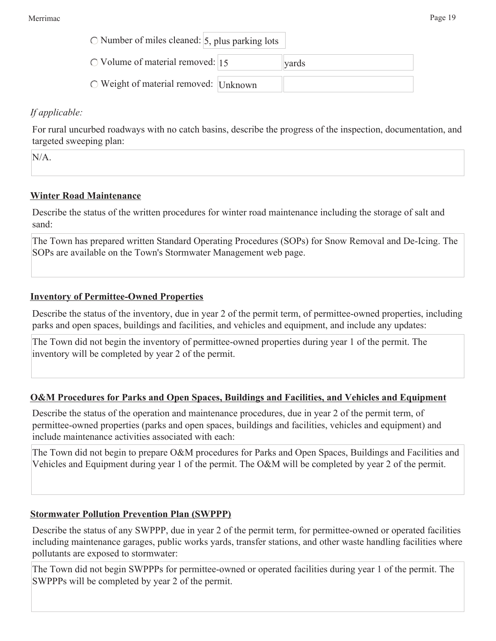| $\circ$ Number of miles cleaned: $\vert$ 5, plus parking lots |  |  |
|---------------------------------------------------------------|--|--|
|---------------------------------------------------------------|--|--|

 $\circ$  Volume of material removed: 15

Weight of material removed: Unknown

### *If applicable:*

For rural uncurbed roadways with no catch basins, describe the progress of the inspection, documentation, and targeted sweeping plan:

yards

N/A.

# **Winter Road Maintenance**

Describe the status of the written procedures for winter road maintenance including the storage of salt and sand:

The Town has prepared written Standard Operating Procedures (SOPs) for Snow Removal and De-Icing. The SOPs are available on the Town's Stormwater Management web page.

# **Inventory of Permittee-Owned Properties**

Describe the status of the inventory, due in year 2 of the permit term, of permittee-owned properties, including parks and open spaces, buildings and facilities, and vehicles and equipment, and include any updates:

The Town did not begin the inventory of permittee-owned properties during year 1 of the permit. The inventory will be completed by year 2 of the permit.

#### **O&M Procedures for Parks and Open Spaces, Buildings and Facilities, and Vehicles and Equipment**

Describe the status of the operation and maintenance procedures, due in year 2 of the permit term, of permittee-owned properties (parks and open spaces, buildings and facilities, vehicles and equipment) and include maintenance activities associated with each:

The Town did not begin to prepare O&M procedures for Parks and Open Spaces, Buildings and Facilities and Vehicles and Equipment during year 1 of the permit. The O&M will be completed by year 2 of the permit.

#### **Stormwater Pollution Prevention Plan (SWPPP)**

Describe the status of any SWPPP, due in year 2 of the permit term, for permittee-owned or operated facilities including maintenance garages, public works yards, transfer stations, and other waste handling facilities where pollutants are exposed to stormwater:

The Town did not begin SWPPPs for permittee-owned or operated facilities during year 1 of the permit. The SWPPPs will be completed by year 2 of the permit.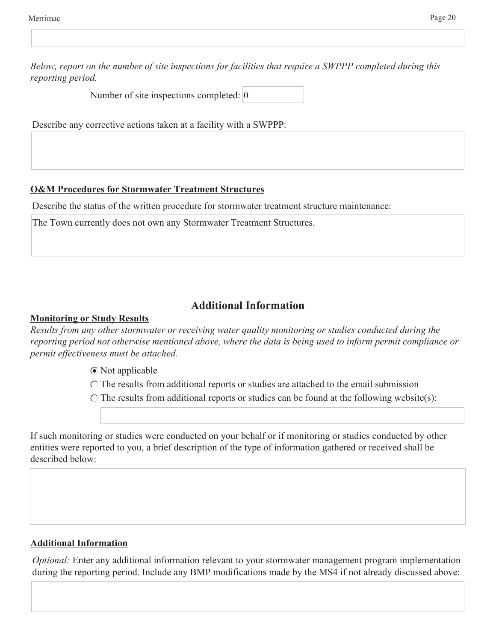*Below, report on the number of site inspections for facilities that require a SWPPP completed during this reporting period.*

Number of site inspections completed: 0

Describe any corrective actions taken at a facility with a SWPPP:

### **O&M Procedures for Stormwater Treatment Structures**

Describe the status of the written procedure for stormwater treatment structure maintenance:

The Town currently does not own any Stormwater Treatment Structures.

# **Additional Information**

### **Monitoring or Study Results**

*Results from any other stormwater or receiving water quality monitoring or studies conducted during the reporting period not otherwise mentioned above, where the data is being used to inform permit compliance or permit effectiveness must be attached.*

Not applicable

 $\bigcirc$  The results from additional reports or studies are attached to the email submission

 $\bigcirc$  The results from additional reports or studies can be found at the following website(s):

If such monitoring or studies were conducted on your behalf or if monitoring or studies conducted by other entities were reported to you, a brief description of the type of information gathered or received shall be described below:

# **Additional Information**

*Optional:* Enter any additional information relevant to your stormwater management program implementation during the reporting period. Include any BMP modifications made by the MS4 if not already discussed above: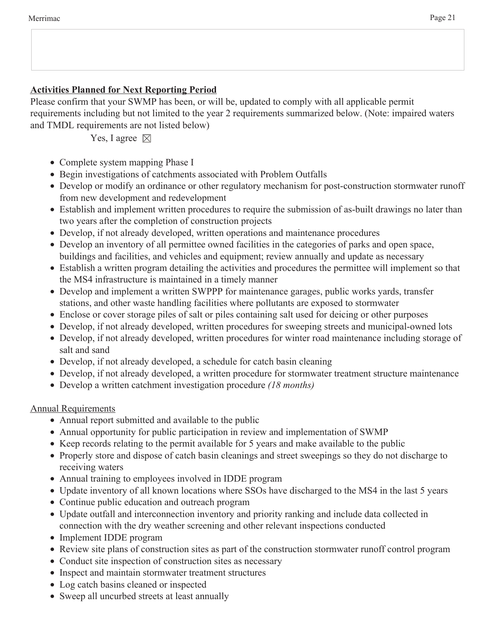# **Activities Planned for Next Reporting Period**

Please confirm that your SWMP has been, or will be, updated to comply with all applicable permit requirements including but not limited to the year 2 requirements summarized below. (Note: impaired waters and TMDL requirements are not listed below)

Yes, I agree  $\boxtimes$ 

- Complete system mapping Phase I
- Begin investigations of catchments associated with Problem Outfalls
- Develop or modify an ordinance or other regulatory mechanism for post-construction stormwater runoff from new development and redevelopment
- Establish and implement written procedures to require the submission of as-built drawings no later than two years after the completion of construction projects
- Develop, if not already developed, written operations and maintenance procedures
- Develop an inventory of all permittee owned facilities in the categories of parks and open space, buildings and facilities, and vehicles and equipment; review annually and update as necessary
- Establish a written program detailing the activities and procedures the permittee will implement so that the MS4 infrastructure is maintained in a timely manner
- Develop and implement a written SWPPP for maintenance garages, public works yards, transfer stations, and other waste handling facilities where pollutants are exposed to stormwater
- Enclose or cover storage piles of salt or piles containing salt used for deicing or other purposes
- Develop, if not already developed, written procedures for sweeping streets and municipal-owned lots
- Develop, if not already developed, written procedures for winter road maintenance including storage of salt and sand
- Develop, if not already developed, a schedule for catch basin cleaning
- Develop, if not already developed, a written procedure for stormwater treatment structure maintenance
- Develop a written catchment investigation procedure *(18 months)*

Annual Requirements

- Annual report submitted and available to the public
- Annual opportunity for public participation in review and implementation of SWMP
- Keep records relating to the permit available for 5 years and make available to the public
- Properly store and dispose of catch basin cleanings and street sweepings so they do not discharge to receiving waters
- Annual training to employees involved in IDDE program
- Update inventory of all known locations where SSOs have discharged to the MS4 in the last 5 years
- Continue public education and outreach program
- Update outfall and interconnection inventory and priority ranking and include data collected in connection with the dry weather screening and other relevant inspections conducted
- Implement IDDE program
- Review site plans of construction sites as part of the construction stormwater runoff control program
- Conduct site inspection of construction sites as necessary
- Inspect and maintain stormwater treatment structures
- Log catch basins cleaned or inspected
- Sweep all uncurbed streets at least annually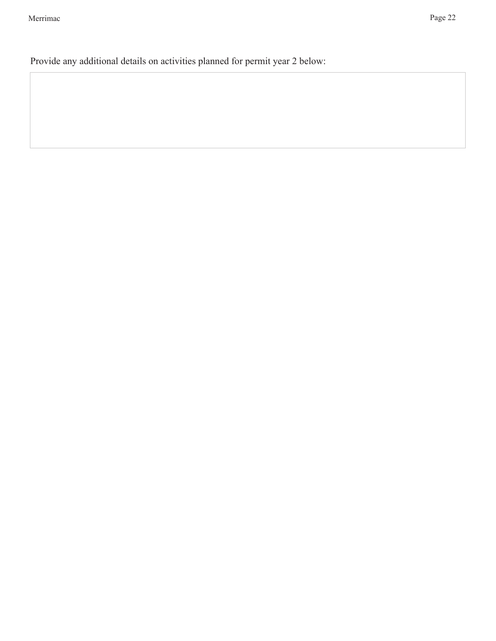Provide any additional details on activities planned for permit year 2 below: